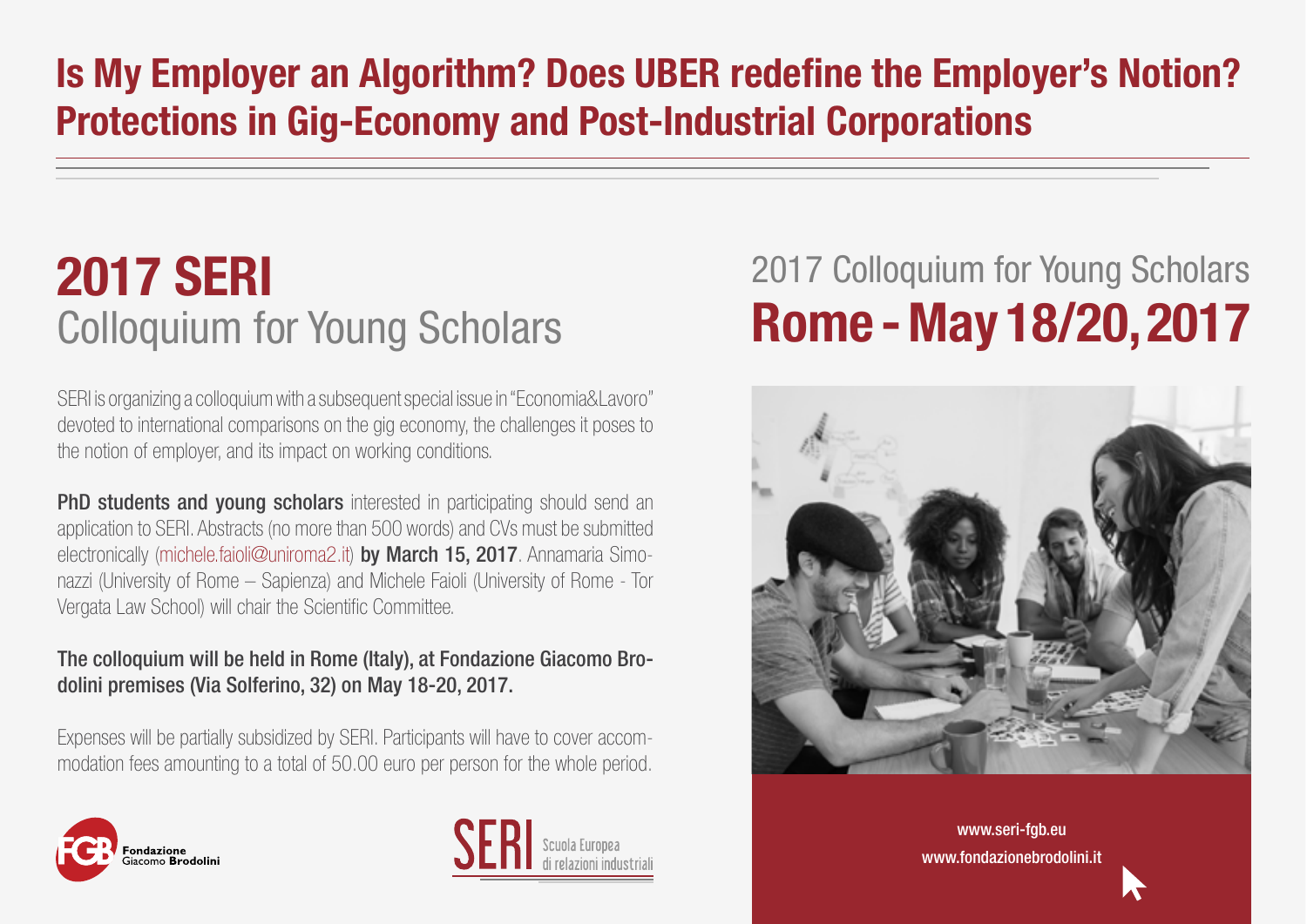## **Is My Employer an Algorithm? Does UBER redefine the Employer's Notion? Protections in Gig-Economy and Post-Industrial Corporations**

## **2017 SERI**  Colloquium for Young Scholars

SERI is organizing a colloquium with a subsequent special issue in "Economia&Lavoro" devoted to international comparisons on the gig economy, the challenges it poses to the notion of employer, and its impact on working conditions.

**PhD students and young scholars** interested in participating should send an application to SERI. Abstracts (no more than 500 words) and CVs must be submitted electronically ([michele.faioli@uniroma2.it](mailto:michele.faioli@uniroma2.it)) by March 15, 2017. Annamaria Simonazzi (University of Rome – Sapienza) and Michele Faioli (University of Rome - Tor Vergata Law School) will chair the Scientific Committee.

## The colloquium will be held in Rome (Italy), at Fondazione Giacomo Brodolini premises (Via Solferino, 32) on May 18-20, 2017.

Expenses will be partially subsidized by SERI. Participants will have to cover accommodation fees amounting to a total of 50.00 euro per person for the whole period.





## 2017 Colloquium for Young Scholars **Rome - May 18/20, 2017**



[www.seri-fgb.eu](http://www.seri-fgb.eu/)  [www.fondazionebrodolini.it](http://www.fondazionebrodolini.it/)